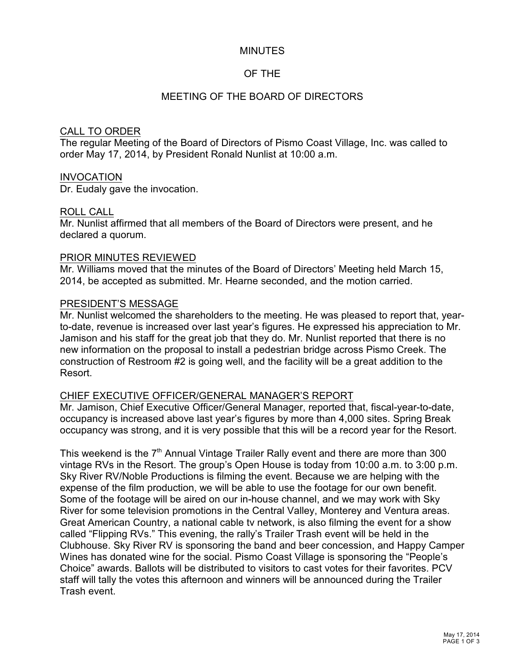#### **MINUTES**

# OF THE

# MEETING OF THE BOARD OF DIRECTORS

#### CALL TO ORDER

The regular Meeting of the Board of Directors of Pismo Coast Village, Inc. was called to order May 17, 2014, by President Ronald Nunlist at 10:00 a.m.

#### INVOCATION

Dr. Eudaly gave the invocation.

#### ROLL CALL

Mr. Nunlist affirmed that all members of the Board of Directors were present, and he declared a quorum.

#### PRIOR MINUTES REVIEWED

Mr. Williams moved that the minutes of the Board of Directors' Meeting held March 15, 2014, be accepted as submitted. Mr. Hearne seconded, and the motion carried.

#### PRESIDENT'S MESSAGE

Mr. Nunlist welcomed the shareholders to the meeting. He was pleased to report that, yearto-date, revenue is increased over last year's figures. He expressed his appreciation to Mr. Jamison and his staff for the great job that they do. Mr. Nunlist reported that there is no new information on the proposal to install a pedestrian bridge across Pismo Creek. The construction of Restroom #2 is going well, and the facility will be a great addition to the Resort.

### CHIEF EXECUTIVE OFFICER/GENERAL MANAGER'S REPORT

Mr. Jamison, Chief Executive Officer/General Manager, reported that, fiscal-year-to-date, occupancy is increased above last year's figures by more than 4,000 sites. Spring Break occupancy was strong, and it is very possible that this will be a record year for the Resort.

This weekend is the  $7<sup>th</sup>$  Annual Vintage Trailer Rally event and there are more than 300 vintage RVs in the Resort. The group's Open House is today from 10:00 a.m. to 3:00 p.m. Sky River RV/Noble Productions is filming the event. Because we are helping with the expense of the film production, we will be able to use the footage for our own benefit. Some of the footage will be aired on our in-house channel, and we may work with Sky River for some television promotions in the Central Valley, Monterey and Ventura areas. Great American Country, a national cable tv network, is also filming the event for a show called "Flipping RVs." This evening, the rally's Trailer Trash event will be held in the Clubhouse. Sky River RV is sponsoring the band and beer concession, and Happy Camper Wines has donated wine for the social. Pismo Coast Village is sponsoring the "People's Choice" awards. Ballots will be distributed to visitors to cast votes for their favorites. PCV staff will tally the votes this afternoon and winners will be announced during the Trailer Trash event.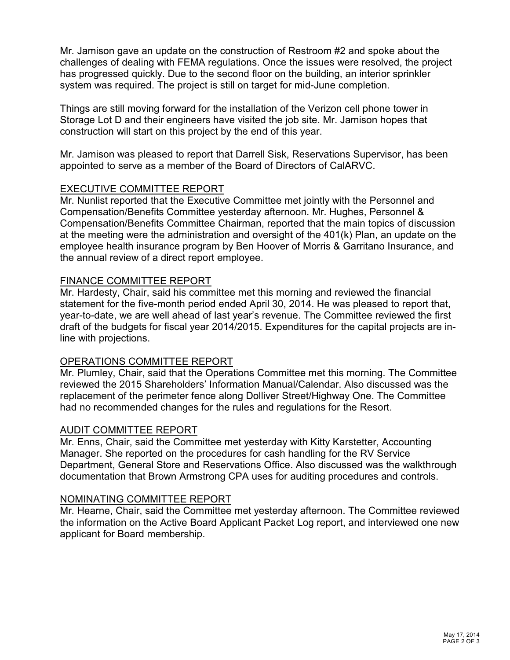Mr. Jamison gave an update on the construction of Restroom #2 and spoke about the challenges of dealing with FEMA regulations. Once the issues were resolved, the project has progressed quickly. Due to the second floor on the building, an interior sprinkler system was required. The project is still on target for mid-June completion.

Things are still moving forward for the installation of the Verizon cell phone tower in Storage Lot D and their engineers have visited the job site. Mr. Jamison hopes that construction will start on this project by the end of this year.

Mr. Jamison was pleased to report that Darrell Sisk, Reservations Supervisor, has been appointed to serve as a member of the Board of Directors of CalARVC.

# EXECUTIVE COMMITTEE REPORT

Mr. Nunlist reported that the Executive Committee met jointly with the Personnel and Compensation/Benefits Committee yesterday afternoon. Mr. Hughes, Personnel & Compensation/Benefits Committee Chairman, reported that the main topics of discussion at the meeting were the administration and oversight of the 401(k) Plan, an update on the employee health insurance program by Ben Hoover of Morris & Garritano Insurance, and the annual review of a direct report employee.

### FINANCE COMMITTEE REPORT

Mr. Hardesty, Chair, said his committee met this morning and reviewed the financial statement for the five-month period ended April 30, 2014. He was pleased to report that, year-to-date, we are well ahead of last year's revenue. The Committee reviewed the first draft of the budgets for fiscal year 2014/2015. Expenditures for the capital projects are inline with projections.

### OPERATIONS COMMITTEE REPORT

Mr. Plumley, Chair, said that the Operations Committee met this morning. The Committee reviewed the 2015 Shareholders' Information Manual/Calendar. Also discussed was the replacement of the perimeter fence along Dolliver Street/Highway One. The Committee had no recommended changes for the rules and regulations for the Resort.

### AUDIT COMMITTEE REPORT

Mr. Enns, Chair, said the Committee met yesterday with Kitty Karstetter, Accounting Manager. She reported on the procedures for cash handling for the RV Service Department, General Store and Reservations Office. Also discussed was the walkthrough documentation that Brown Armstrong CPA uses for auditing procedures and controls.

### NOMINATING COMMITTEE REPORT

Mr. Hearne, Chair, said the Committee met yesterday afternoon. The Committee reviewed the information on the Active Board Applicant Packet Log report, and interviewed one new applicant for Board membership.